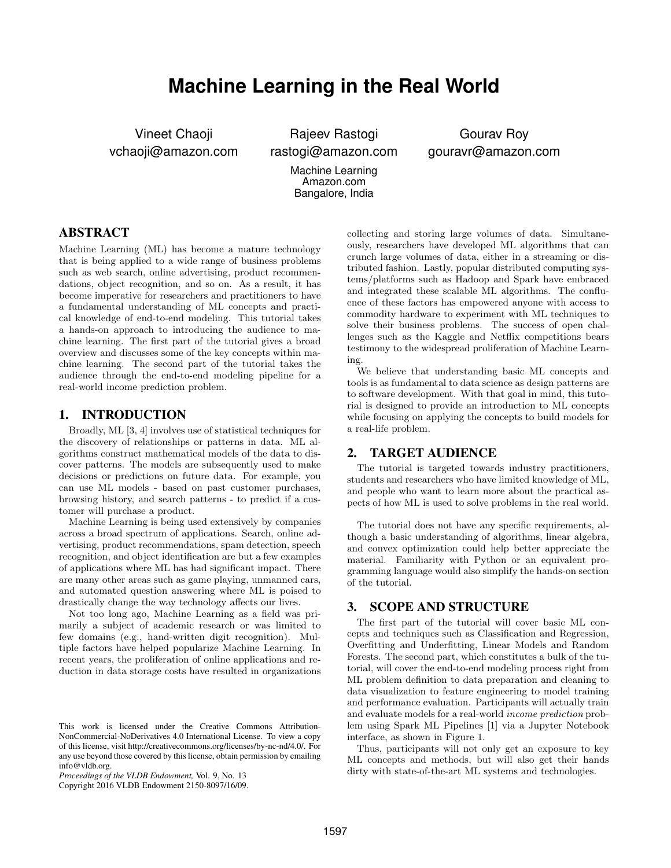# **Machine Learning in the Real World**

Vineet Chaoji vchaoji@amazon.com

Rajeev Rastogi rastogi@amazon.com

Gourav Roy gouravr@amazon.com

Machine Learning Amazon.com Bangalore, India

## ABSTRACT

Machine Learning (ML) has become a mature technology that is being applied to a wide range of business problems such as web search, online advertising, product recommendations, object recognition, and so on. As a result, it has become imperative for researchers and practitioners to have a fundamental understanding of ML concepts and practical knowledge of end-to-end modeling. This tutorial takes a hands-on approach to introducing the audience to machine learning. The first part of the tutorial gives a broad overview and discusses some of the key concepts within machine learning. The second part of the tutorial takes the audience through the end-to-end modeling pipeline for a real-world income prediction problem.

# 1. INTRODUCTION

Broadly, ML [3, 4] involves use of statistical techniques for the discovery of relationships or patterns in data. ML algorithms construct mathematical models of the data to discover patterns. The models are subsequently used to make decisions or predictions on future data. For example, you can use ML models - based on past customer purchases, browsing history, and search patterns - to predict if a customer will purchase a product.

Machine Learning is being used extensively by companies across a broad spectrum of applications. Search, online advertising, product recommendations, spam detection, speech recognition, and object identification are but a few examples of applications where ML has had significant impact. There are many other areas such as game playing, unmanned cars, and automated question answering where ML is poised to drastically change the way technology affects our lives.

Not too long ago, Machine Learning as a field was primarily a subject of academic research or was limited to few domains (e.g., hand-written digit recognition). Multiple factors have helped popularize Machine Learning. In recent years, the proliferation of online applications and reduction in data storage costs have resulted in organizations

Copyright 2016 VLDB Endowment 2150-8097/16/09.

collecting and storing large volumes of data. Simultaneously, researchers have developed ML algorithms that can crunch large volumes of data, either in a streaming or distributed fashion. Lastly, popular distributed computing systems/platforms such as Hadoop and Spark have embraced and integrated these scalable ML algorithms. The confluence of these factors has empowered anyone with access to commodity hardware to experiment with ML techniques to solve their business problems. The success of open challenges such as the Kaggle and Netflix competitions bears testimony to the widespread proliferation of Machine Learning.

We believe that understanding basic ML concepts and tools is as fundamental to data science as design patterns are to software development. With that goal in mind, this tutorial is designed to provide an introduction to ML concepts while focusing on applying the concepts to build models for a real-life problem.

#### 2. TARGET AUDIENCE

The tutorial is targeted towards industry practitioners, students and researchers who have limited knowledge of ML, and people who want to learn more about the practical aspects of how ML is used to solve problems in the real world.

The tutorial does not have any specific requirements, although a basic understanding of algorithms, linear algebra, and convex optimization could help better appreciate the material. Familiarity with Python or an equivalent programming language would also simplify the hands-on section of the tutorial.

#### 3. SCOPE AND STRUCTURE

The first part of the tutorial will cover basic ML concepts and techniques such as Classification and Regression, Overfitting and Underfitting, Linear Models and Random Forests. The second part, which constitutes a bulk of the tutorial, will cover the end-to-end modeling process right from ML problem definition to data preparation and cleaning to data visualization to feature engineering to model training and performance evaluation. Participants will actually train and evaluate models for a real-world income prediction problem using Spark ML Pipelines [1] via a Jupyter Notebook interface, as shown in Figure 1.

Thus, participants will not only get an exposure to key ML concepts and methods, but will also get their hands dirty with state-of-the-art ML systems and technologies.

This work is licensed under the Creative Commons Attribution-NonCommercial-NoDerivatives 4.0 International License. To view a copy of this license, visit http://creativecommons.org/licenses/by-nc-nd/4.0/. For any use beyond those covered by this license, obtain permission by emailing info@vldb.org.

*Proceedings of the VLDB Endowment,* Vol. 9, No. 13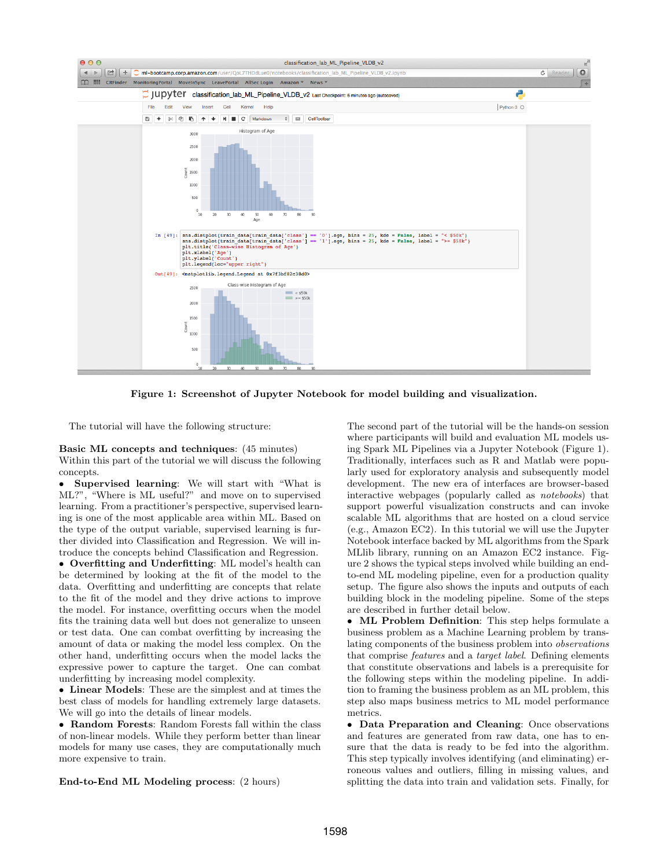

Figure 1: Screenshot of Jupyter Notebook for model building and visualization.

The tutorial will have the following structure:

Basic ML concepts and techniques: (45 minutes) Within this part of the tutorial we will discuss the following concepts.

Supervised learning: We will start with "What is ML?", "Where is ML useful?" and move on to supervised learning. From a practitioner's perspective, supervised learning is one of the most applicable area within ML. Based on the type of the output variable, supervised learning is further divided into Classification and Regression. We will introduce the concepts behind Classification and Regression.

• Overfitting and Underfitting: ML model's health can be determined by looking at the fit of the model to the data. Overfitting and underfitting are concepts that relate to the fit of the model and they drive actions to improve the model. For instance, overfitting occurs when the model fits the training data well but does not generalize to unseen or test data. One can combat overfitting by increasing the amount of data or making the model less complex. On the other hand, underfitting occurs when the model lacks the expressive power to capture the target. One can combat underfitting by increasing model complexity.

• Linear Models: These are the simplest and at times the best class of models for handling extremely large datasets. We will go into the details of linear models.

• Random Forests: Random Forests fall within the class of non-linear models. While they perform better than linear models for many use cases, they are computationally much more expensive to train.

End-to-End ML Modeling process: (2 hours)

The second part of the tutorial will be the hands-on session where participants will build and evaluation ML models using Spark ML Pipelines via a Jupyter Notebook (Figure 1). Traditionally, interfaces such as R and Matlab were popularly used for exploratory analysis and subsequently model development. The new era of interfaces are browser-based interactive webpages (popularly called as notebooks) that support powerful visualization constructs and can invoke scalable ML algorithms that are hosted on a cloud service (e.g., Amazon EC2). In this tutorial we will use the Jupyter Notebook interface backed by ML algorithms from the Spark MLlib library, running on an Amazon EC2 instance. Figure 2 shows the typical steps involved while building an endto-end ML modeling pipeline, even for a production quality setup. The figure also shows the inputs and outputs of each building block in the modeling pipeline. Some of the steps are described in further detail below.

• ML Problem Definition: This step helps formulate a business problem as a Machine Learning problem by translating components of the business problem into observations that comprise features and a target label. Defining elements that constitute observations and labels is a prerequisite for the following steps within the modeling pipeline. In addition to framing the business problem as an ML problem, this step also maps business metrics to ML model performance metrics.

• Data Preparation and Cleaning: Once observations and features are generated from raw data, one has to ensure that the data is ready to be fed into the algorithm. This step typically involves identifying (and eliminating) erroneous values and outliers, filling in missing values, and splitting the data into train and validation sets. Finally, for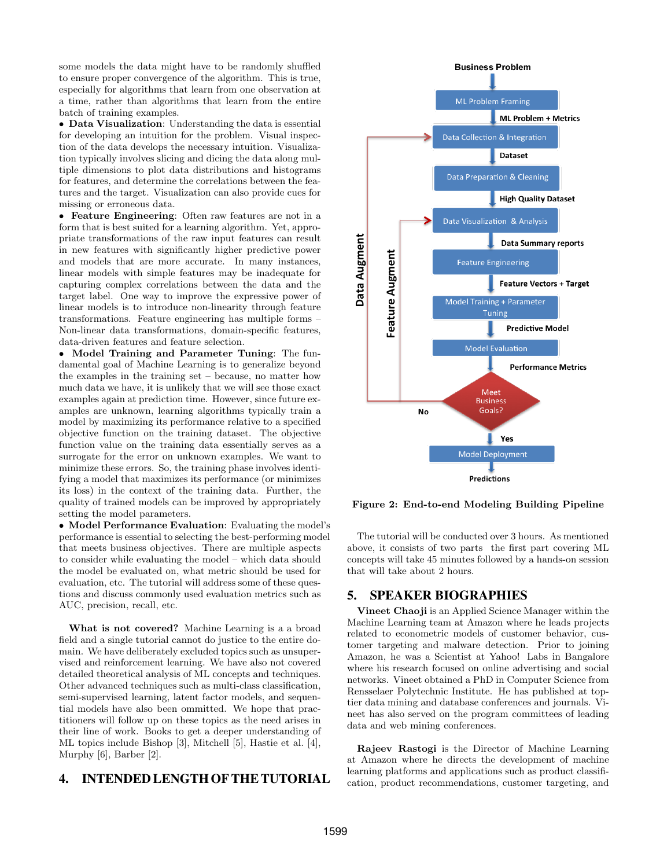some models the data might have to be randomly shuffled to ensure proper convergence of the algorithm. This is true, especially for algorithms that learn from one observation at a time, rather than algorithms that learn from the entire batch of training examples.

• Data Visualization: Understanding the data is essential for developing an intuition for the problem. Visual inspection of the data develops the necessary intuition. Visualization typically involves slicing and dicing the data along multiple dimensions to plot data distributions and histograms for features, and determine the correlations between the features and the target. Visualization can also provide cues for missing or erroneous data.

• Feature Engineering: Often raw features are not in a form that is best suited for a learning algorithm. Yet, appropriate transformations of the raw input features can result in new features with significantly higher predictive power and models that are more accurate. In many instances, linear models with simple features may be inadequate for capturing complex correlations between the data and the target label. One way to improve the expressive power of linear models is to introduce non-linearity through feature transformations. Feature engineering has multiple forms – Non-linear data transformations, domain-specific features, data-driven features and feature selection.

• Model Training and Parameter Tuning: The fundamental goal of Machine Learning is to generalize beyond the examples in the training set – because, no matter how much data we have, it is unlikely that we will see those exact examples again at prediction time. However, since future examples are unknown, learning algorithms typically train a model by maximizing its performance relative to a specified objective function on the training dataset. The objective function value on the training data essentially serves as a surrogate for the error on unknown examples. We want to minimize these errors. So, the training phase involves identifying a model that maximizes its performance (or minimizes its loss) in the context of the training data. Further, the quality of trained models can be improved by appropriately setting the model parameters.

• Model Performance Evaluation: Evaluating the model's performance is essential to selecting the best-performing model that meets business objectives. There are multiple aspects to consider while evaluating the model – which data should the model be evaluated on, what metric should be used for evaluation, etc. The tutorial will address some of these questions and discuss commonly used evaluation metrics such as AUC, precision, recall, etc.

What is not covered? Machine Learning is a a broad field and a single tutorial cannot do justice to the entire domain. We have deliberately excluded topics such as unsupervised and reinforcement learning. We have also not covered detailed theoretical analysis of ML concepts and techniques. Other advanced techniques such as multi-class classification, semi-supervised learning, latent factor models, and sequential models have also been ommitted. We hope that practitioners will follow up on these topics as the need arises in their line of work. Books to get a deeper understanding of ML topics include Bishop [3], Mitchell [5], Hastie et al. [4], Murphy [6], Barber [2].

### 4. INTENDED LENGTH OF THE TUTORIAL



Figure 2: End-to-end Modeling Building Pipeline

The tutorial will be conducted over 3 hours. As mentioned above, it consists of two parts the first part covering ML concepts will take 45 minutes followed by a hands-on session that will take about 2 hours.

#### 5. SPEAKER BIOGRAPHIES

Vineet Chaoji is an Applied Science Manager within the Machine Learning team at Amazon where he leads projects related to econometric models of customer behavior, customer targeting and malware detection. Prior to joining Amazon, he was a Scientist at Yahoo! Labs in Bangalore where his research focused on online advertising and social networks. Vineet obtained a PhD in Computer Science from Rensselaer Polytechnic Institute. He has published at toptier data mining and database conferences and journals. Vineet has also served on the program committees of leading data and web mining conferences.

Rajeev Rastogi is the Director of Machine Learning at Amazon where he directs the development of machine learning platforms and applications such as product classification, product recommendations, customer targeting, and